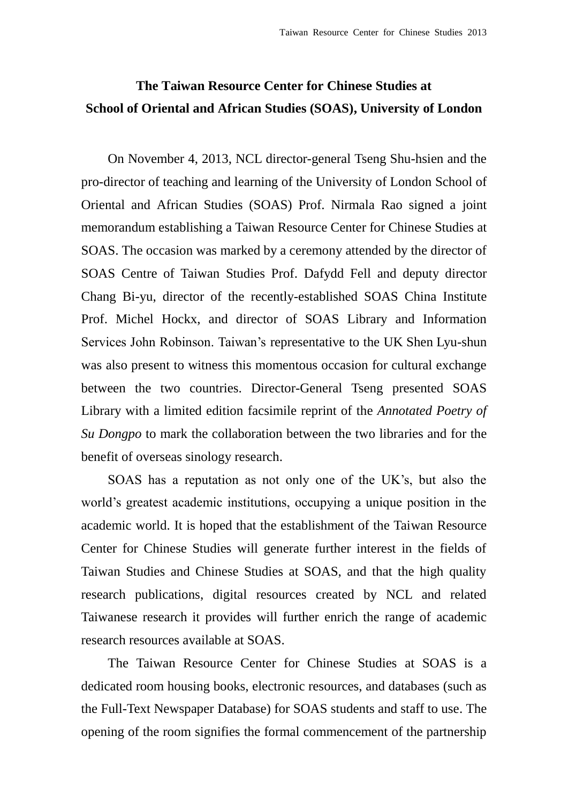## **The Taiwan Resource Center for Chinese Studies at School of Oriental and African Studies (SOAS), University of London**

On November 4, 2013, NCL director-general Tseng Shu-hsien and the pro-director of teaching and learning of the University of London School of Oriental and African Studies (SOAS) Prof. Nirmala Rao signed a joint memorandum establishing a Taiwan Resource Center for Chinese Studies at SOAS. The occasion was marked by a ceremony attended by the director of SOAS Centre of Taiwan Studies Prof. Dafydd Fell and deputy director Chang Bi-yu, director of the recently-established SOAS China Institute Prof. Michel Hockx, and director of SOAS Library and Information Services John Robinson. Taiwan's representative to the UK Shen Lyu-shun was also present to witness this momentous occasion for cultural exchange between the two countries. Director-General Tseng presented SOAS Library with a limited edition facsimile reprint of the *Annotated Poetry of Su Dongpo* to mark the collaboration between the two libraries and for the benefit of overseas sinology research.

SOAS has a reputation as not only one of the UK's, but also the world's greatest academic institutions, occupying a unique position in the academic world. It is hoped that the establishment of the Taiwan Resource Center for Chinese Studies will generate further interest in the fields of Taiwan Studies and Chinese Studies at SOAS, and that the high quality research publications, digital resources created by NCL and related Taiwanese research it provides will further enrich the range of academic research resources available at SOAS.

The Taiwan Resource Center for Chinese Studies at SOAS is a dedicated room housing books, electronic resources, and databases (such as the Full-Text Newspaper Database) for SOAS students and staff to use. The opening of the room signifies the formal commencement of the partnership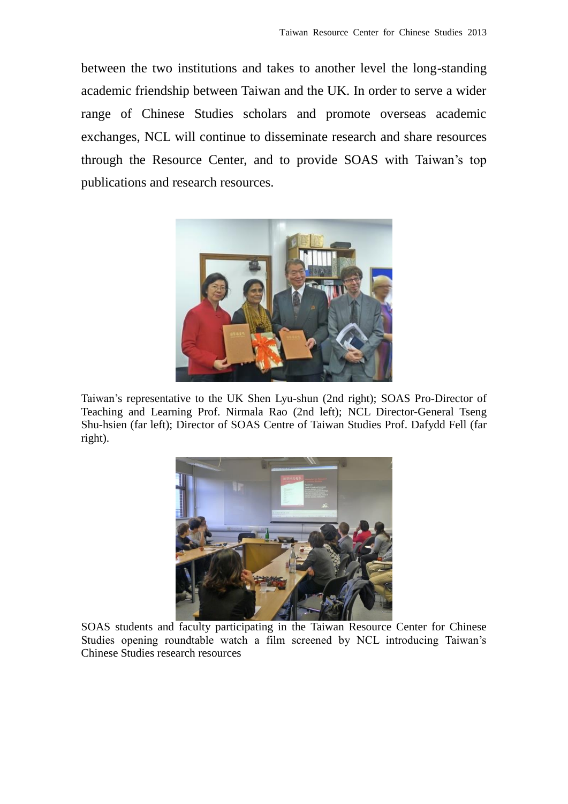between the two institutions and takes to another level the long-standing academic friendship between Taiwan and the UK. In order to serve a wider range of Chinese Studies scholars and promote overseas academic exchanges, NCL will continue to disseminate research and share resources through the Resource Center, and to provide SOAS with Taiwan's top publications and research resources.



Taiwan's representative to the UK Shen Lyu-shun (2nd right); SOAS Pro-Director of Teaching and Learning Prof. Nirmala Rao (2nd left); NCL Director-General Tseng Shu-hsien (far left); Director of SOAS Centre of Taiwan Studies Prof. Dafydd Fell (far right).



SOAS students and faculty participating in the Taiwan Resource Center for Chinese Studies opening roundtable watch a film screened by NCL introducing Taiwan's Chinese Studies research resources